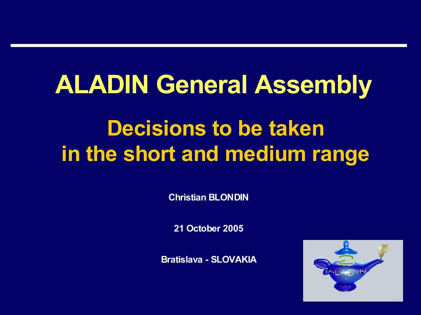# **Decisions to be taken in the short and medium range ALADIN General Assembly**

**Christian BLONDIN**

**21 October 2005**

**Bratislava - SLOVAKIA**

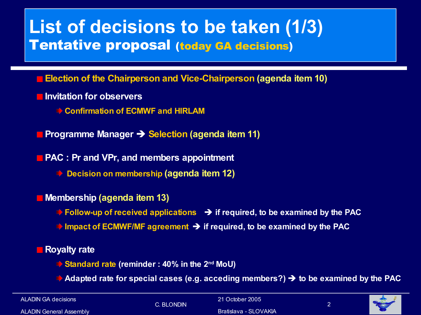## **List of decisions to be taken (1/3)** Tentative proposal (today GA decisions)

#### **Election of the Chairperson and Vice-Chairperson (agenda item 10)**

- **Invitation for observers**
	- **Confirmation of ECMWF and HIRLAM**
- **Programme Manager Selection (agenda item 11)**

**PAC : Pr and VPr, and members appointment**

**Decision on membership (agenda item 12)**

**Membership (agenda item 13)**

- **Follow-up of received applications if required, to be examined by the PAC**
- **Impact of ECMWF/MF agreement if required, to be examined by the PAC**

#### **Royalty rate**

- **Standard rate (reminder : 40% in the 2 nd MoU)**
- **Adapted rate for special cases (e.g. acceding members?) to be examined by the PAC**

ALADIN General Assembly

C. BLONDIN

21 October 2005 Bratislava - SLOVAKIA



2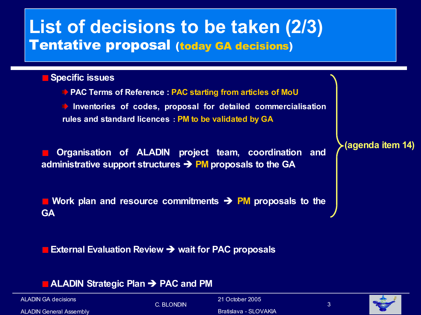## **List of decisions to be taken (2/3)** Tentative proposal (today GA decisions)

#### **Specific issues**

**PAC Terms of Reference : PAC starting from articles of MoU**

**Inventories of codes, proposal for detailed commercialisation rules and standard licences : PM to be validated by GA**

**Organisation of ALADIN project team, coordination and administrative support structures PM proposals to the GA**

**Work plan and resource commitments PM proposals to the GA**

**External Evaluation Review wait for PAC proposals**

#### **ALADIN Strategic Plan PAC and PM**

ALADIN GA decisions

ALADIN General Assembly

C. BLONDIN

21 October 2005 Bratislava - SLOVAKIA



#### **(agenda item 14)**

3